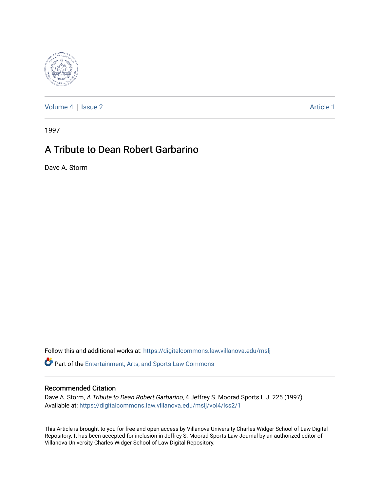

[Volume 4](https://digitalcommons.law.villanova.edu/mslj/vol4) | [Issue 2](https://digitalcommons.law.villanova.edu/mslj/vol4/iss2) Article 1

1997

## A Tribute to Dean Robert Garbarino

Dave A. Storm

Follow this and additional works at: [https://digitalcommons.law.villanova.edu/mslj](https://digitalcommons.law.villanova.edu/mslj?utm_source=digitalcommons.law.villanova.edu%2Fmslj%2Fvol4%2Fiss2%2F1&utm_medium=PDF&utm_campaign=PDFCoverPages)

Part of the [Entertainment, Arts, and Sports Law Commons](http://network.bepress.com/hgg/discipline/893?utm_source=digitalcommons.law.villanova.edu%2Fmslj%2Fvol4%2Fiss2%2F1&utm_medium=PDF&utm_campaign=PDFCoverPages)

## Recommended Citation

Dave A. Storm, A Tribute to Dean Robert Garbarino, 4 Jeffrey S. Moorad Sports L.J. 225 (1997). Available at: [https://digitalcommons.law.villanova.edu/mslj/vol4/iss2/1](https://digitalcommons.law.villanova.edu/mslj/vol4/iss2/1?utm_source=digitalcommons.law.villanova.edu%2Fmslj%2Fvol4%2Fiss2%2F1&utm_medium=PDF&utm_campaign=PDFCoverPages)

This Article is brought to you for free and open access by Villanova University Charles Widger School of Law Digital Repository. It has been accepted for inclusion in Jeffrey S. Moorad Sports Law Journal by an authorized editor of Villanova University Charles Widger School of Law Digital Repository.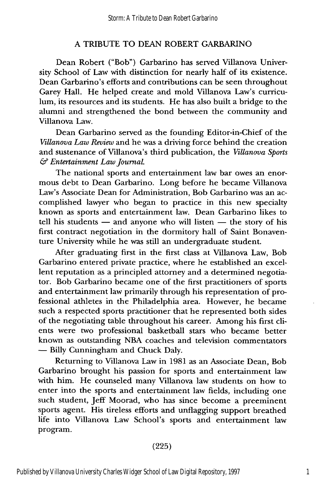## A TRIBUTE TO DEAN ROBERT GARBARINO

Dean Robert ("Bob") Garbarino has served Villanova University School of Law with distinction for nearly half of its existence. Dean Garbarino's efforts and contributions can be seen throughout Garey Hall. He helped create and mold Villanova Law's curriculum, its resources and its students. He has also built a bridge to the alumni and strengthened the bond between the community and Villanova Law.

Dean Garbarino served as the founding Editor-in-Chief of the *Villanova Law Review* and he was a driving force behind the creation and sustenance of Villanova's third publication, the *Villanova Sports* & *Entertainment Law Journal.*

The national sports and entertainment law bar owes an enormous debt to Dean Garbarino. Long before he became Villanova Law's Associate Dean for Administration, Bob Garbarino was an accomplished lawyer who began to practice in this new specialty known as sports and entertainment law. Dean Garbarino likes to tell his students  $-$  and anyone who will listen  $-$  the story of his first contract negotiation in the dormitory hall of Saint Bonaventure University while he was still an undergraduate student.

After graduating first in the first class at Villanova Law, Bob Garbarino entered private practice, where he established an excellent reputation as a principled attorney and a determined negotiator. Bob Garbarino became one of the first practitioners of sports and entertainment law primarily through his representation of professional athletes in the Philadelphia area. However, he became such a respected sports practitioner that he represented both sides of the negotiating table throughout his career. Among his first clients were two professional basketball stars who became better known as outstanding NBA coaches and television commentators **-** Billy Cunningham and Chuck Daly.

Returning to Villanova Law in 1981 as an Associate Dean, Bob Garbarino brought his passion for sports and entertainment law with him. He counseled many Villanova law students on how to enter into the sports and entertainment law fields, including one such student, Jeff Moorad, who has since become a preeminent sports agent. His tireless efforts and unflagging support breathed life into Villanova Law School's sports and entertainment law program.

## (225)